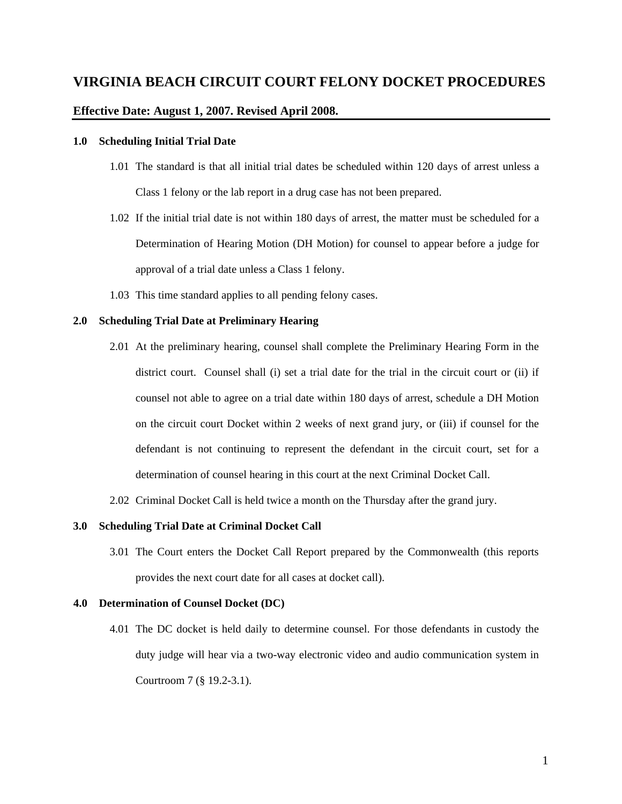## **Effective Date: August 1, 2007. Revised April 2008.**

### **1.0 Scheduling Initial Trial Date**

- 1.01 The standard is that all initial trial dates be scheduled within 120 days of arrest unless a Class 1 felony or the lab report in a drug case has not been prepared.
- 1.02 If the initial trial date is not within 180 days of arrest, the matter must be scheduled for a Determination of Hearing Motion (DH Motion) for counsel to appear before a judge for approval of a trial date unless a Class 1 felony.
- 1.03 This time standard applies to all pending felony cases.

## **2.0 Scheduling Trial Date at Preliminary Hearing**

- 2.01 At the preliminary hearing, counsel shall complete the Preliminary Hearing Form in the district court. Counsel shall (i) set a trial date for the trial in the circuit court or (ii) if counsel not able to agree on a trial date within 180 days of arrest, schedule a DH Motion on the circuit court Docket within 2 weeks of next grand jury, or (iii) if counsel for the defendant is not continuing to represent the defendant in the circuit court, set for a determination of counsel hearing in this court at the next Criminal Docket Call.
- 2.02 Criminal Docket Call is held twice a month on the Thursday after the grand jury.

# **3.0 Scheduling Trial Date at Criminal Docket Call**

3.01 The Court enters the Docket Call Report prepared by the Commonwealth (this reports provides the next court date for all cases at docket call).

# **4.0 Determination of Counsel Docket (DC)**

4.01 The DC docket is held daily to determine counsel. For those defendants in custody the duty judge will hear via a two-way electronic video and audio communication system in Courtroom 7 (§ 19.2-3.1).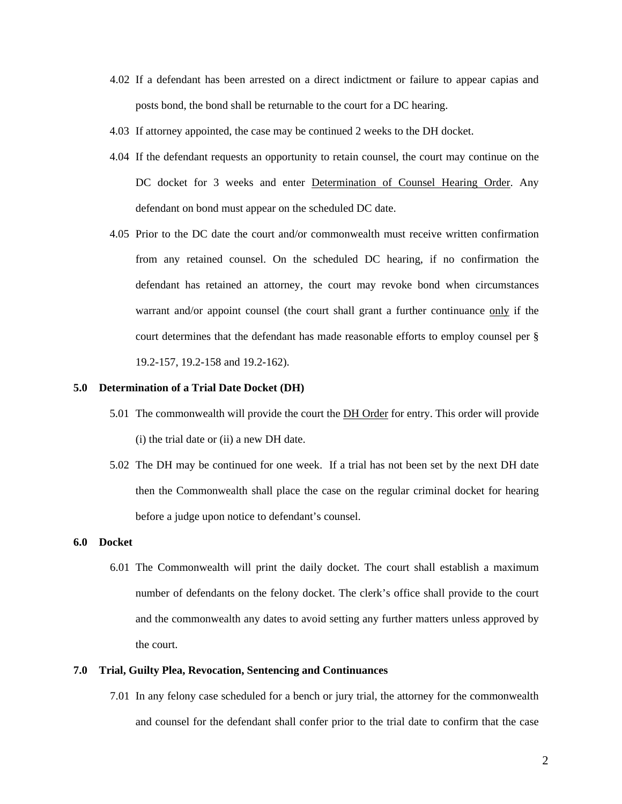- 4.02 If a defendant has been arrested on a direct indictment or failure to appear capias and posts bond, the bond shall be returnable to the court for a DC hearing.
- 4.03 If attorney appointed, the case may be continued 2 weeks to the DH docket.
- 4.04 If the defendant requests an opportunity to retain counsel, the court may continue on the DC docket for 3 weeks and enter Determination of Counsel Hearing Order. Any defendant on bond must appear on the scheduled DC date.
- 4.05 Prior to the DC date the court and/or commonwealth must receive written confirmation from any retained counsel. On the scheduled DC hearing, if no confirmation the defendant has retained an attorney, the court may revoke bond when circumstances warrant and/or appoint counsel (the court shall grant a further continuance only if the court determines that the defendant has made reasonable efforts to employ counsel per § 19.2-157, 19.2-158 and 19.2-162).

#### **5.0 Determination of a Trial Date Docket (DH)**

- 5.01 The commonwealth will provide the court the **DH Order** for entry. This order will provide (i) the trial date or (ii) a new DH date.
- 5.02 The DH may be continued for one week. If a trial has not been set by the next DH date then the Commonwealth shall place the case on the regular criminal docket for hearing before a judge upon notice to defendant's counsel.

## **6.0 Docket**

6.01 The Commonwealth will print the daily docket. The court shall establish a maximum number of defendants on the felony docket. The clerk's office shall provide to the court and the commonwealth any dates to avoid setting any further matters unless approved by the court.

### **7.0 Trial, Guilty Plea, Revocation, Sentencing and Continuances**

7.01 In any felony case scheduled for a bench or jury trial, the attorney for the commonwealth and counsel for the defendant shall confer prior to the trial date to confirm that the case